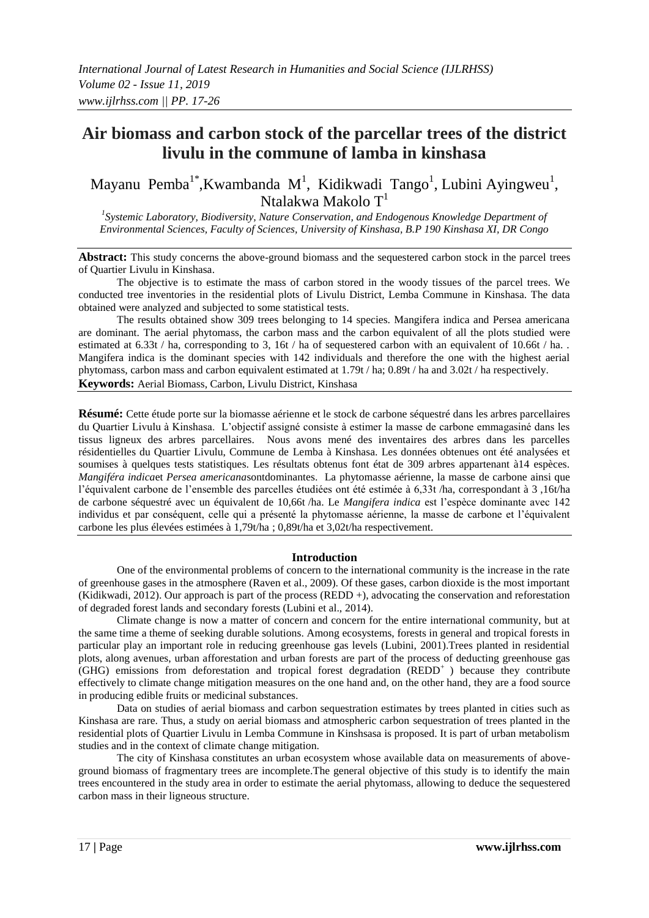# **Air biomass and carbon stock of the parcellar trees of the district livulu in the commune of lamba in kinshasa**

Mayanu Pemba<sup>1\*</sup>,Kwambanda M<sup>1</sup>, Kidikwadi Tango<sup>1</sup>, Lubini Ayingweu<sup>1</sup>, Ntalakwa Makolo T<sup>1</sup>

*1 Systemic Laboratory, Biodiversity, Nature Conservation, and Endogenous Knowledge Department of Environmental Sciences, Faculty of Sciences, University of Kinshasa, B.P 190 Kinshasa XI, DR Congo*

**Abstract:** This study concerns the above-ground biomass and the sequestered carbon stock in the parcel trees of Quartier Livulu in Kinshasa.

The objective is to estimate the mass of carbon stored in the woody tissues of the parcel trees. We conducted tree inventories in the residential plots of Livulu District, Lemba Commune in Kinshasa. The data obtained were analyzed and subjected to some statistical tests.

The results obtained show 309 trees belonging to 14 species. Mangifera indica and Persea americana are dominant. The aerial phytomass, the carbon mass and the carbon equivalent of all the plots studied were estimated at 6.33t / ha, corresponding to 3, 16t / ha of sequestered carbon with an equivalent of 10.66t / ha. Mangifera indica is the dominant species with 142 individuals and therefore the one with the highest aerial phytomass, carbon mass and carbon equivalent estimated at 1.79t / ha; 0.89t / ha and 3.02t / ha respectively. **Keywords:** Aerial Biomass, Carbon, Livulu District, Kinshasa

**Résumé:** Cette étude porte sur la biomasse aérienne et le stock de carbone séquestré dans les arbres parcellaires du Quartier Livulu à Kinshasa. L'objectif assigné consiste à estimer la masse de carbone emmagasiné dans les tissus ligneux des arbres parcellaires. Nous avons mené des inventaires des arbres dans les parcelles résidentielles du Quartier Livulu, Commune de Lemba à Kinshasa. Les données obtenues ont été analysées et soumises à quelques tests statistiques. Les résultats obtenus font état de 309 arbres appartenant à14 espèces. *Mangiféra indica*et *Persea americana*sontdominantes. La phytomasse aérienne, la masse de carbone ainsi que l'équivalent carbone de l'ensemble des parcelles étudiées ont été estimée à 6,33t /ha, correspondant à 3 ,16t/ha de carbone séquestré avec un équivalent de 10,66t /ha. Le *Mangifera indica* est l'espèce dominante avec 142 individus et par conséquent, celle qui a présenté la phytomasse aérienne, la masse de carbone et l'équivalent carbone les plus élevées estimées à 1,79t/ha ; 0,89t/ha et 3,02t/ha respectivement.

# **Introduction**

One of the environmental problems of concern to the international community is the increase in the rate of greenhouse gases in the atmosphere (Raven et al., 2009). Of these gases, carbon dioxide is the most important (Kidikwadi, 2012). Our approach is part of the process (REDD +), advocating the conservation and reforestation of degraded forest lands and secondary forests (Lubini et al., 2014).

Climate change is now a matter of concern and concern for the entire international community, but at the same time a theme of seeking durable solutions. Among ecosystems, forests in general and tropical forests in particular play an important role in reducing greenhouse gas levels (Lubini, 2001).Trees planted in residential plots, along avenues, urban afforestation and urban forests are part of the process of deducting greenhouse gas (GHG) emissions from deforestation and tropical forest degradation ( $REDD<sup>+</sup>$ ) because they contribute effectively to climate change mitigation measures on the one hand and, on the other hand, they are a food source in producing edible fruits or medicinal substances.

Data on studies of aerial biomass and carbon sequestration estimates by trees planted in cities such as Kinshasa are rare. Thus, a study on aerial biomass and atmospheric carbon sequestration of trees planted in the residential plots of Quartier Livulu in Lemba Commune in Kinshsasa is proposed. It is part of urban metabolism studies and in the context of climate change mitigation.

The city of Kinshasa constitutes an urban ecosystem whose available data on measurements of aboveground biomass of fragmentary trees are incomplete.The general objective of this study is to identify the main trees encountered in the study area in order to estimate the aerial phytomass, allowing to deduce the sequestered carbon mass in their ligneous structure.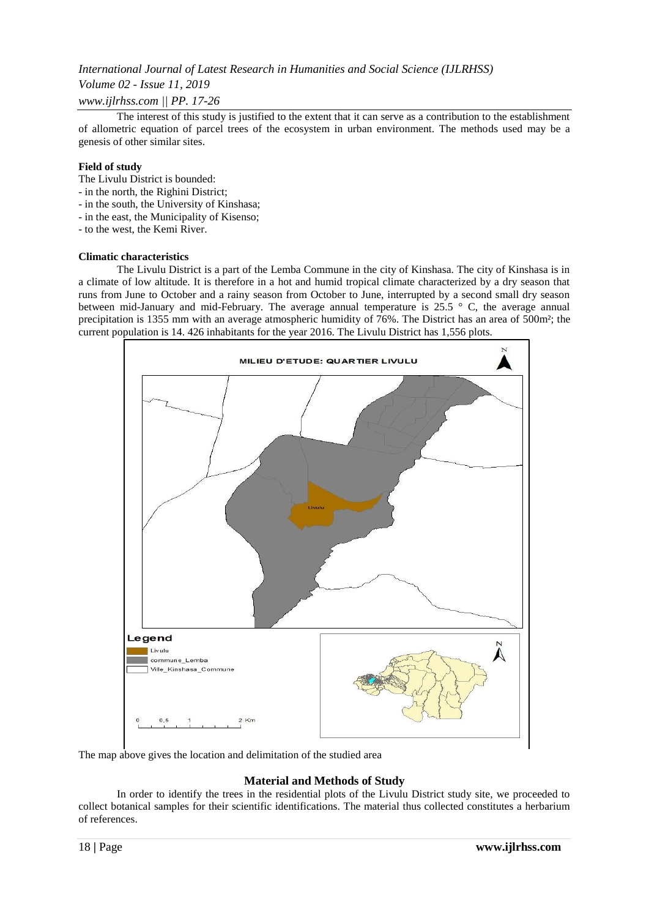# *Volume 02 - Issue 11, 2019*

# *www.ijlrhss.com || PP. 17-26*

The interest of this study is justified to the extent that it can serve as a contribution to the establishment of allometric equation of parcel trees of the ecosystem in urban environment. The methods used may be a genesis of other similar sites.

## **Field of study**

The Livulu District is bounded:

- in the north, the Righini District;
- in the south, the University of Kinshasa;
- in the east, the Municipality of Kisenso;

- to the west, the Kemi River.

#### **Climatic characteristics**

The Livulu District is a part of the Lemba Commune in the city of Kinshasa. The city of Kinshasa is in a climate of low altitude. It is therefore in a hot and humid tropical climate characterized by a dry season that runs from June to October and a rainy season from October to June, interrupted by a second small dry season between mid-January and mid-February. The average annual temperature is 25.5 ° C, the average annual precipitation is 1355 mm with an average atmospheric humidity of 76%. The District has an area of 500m²; the current population is 14. 426 inhabitants for the year 2016. The Livulu District has 1,556 plots.



The map above gives the location and delimitation of the studied area

# **Material and Methods of Study**

In order to identify the trees in the residential plots of the Livulu District study site, we proceeded to collect botanical samples for their scientific identifications. The material thus collected constitutes a herbarium of references.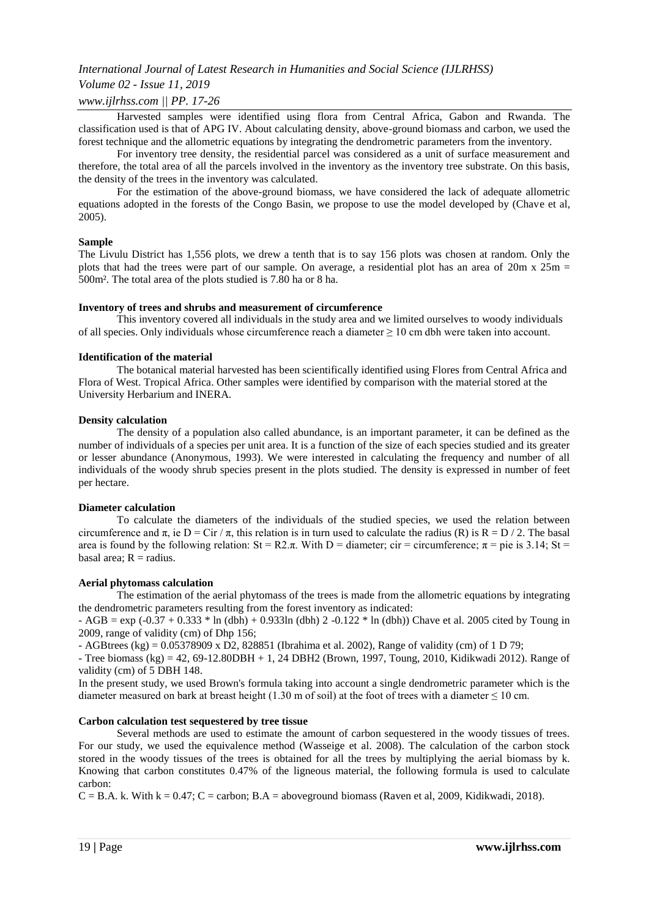## *Volume 02 - Issue 11, 2019*

## *www.ijlrhss.com || PP. 17-26*

Harvested samples were identified using flora from Central Africa, Gabon and Rwanda. The classification used is that of APG IV. About calculating density, above-ground biomass and carbon, we used the forest technique and the allometric equations by integrating the dendrometric parameters from the inventory.

For inventory tree density, the residential parcel was considered as a unit of surface measurement and therefore, the total area of all the parcels involved in the inventory as the inventory tree substrate. On this basis, the density of the trees in the inventory was calculated.

For the estimation of the above-ground biomass, we have considered the lack of adequate allometric equations adopted in the forests of the Congo Basin, we propose to use the model developed by (Chave et al, 2005).

#### **Sample**

The Livulu District has 1,556 plots, we drew a tenth that is to say 156 plots was chosen at random. Only the plots that had the trees were part of our sample. On average, a residential plot has an area of  $20m \times 25m =$ 500m². The total area of the plots studied is 7.80 ha or 8 ha.

#### **Inventory of trees and shrubs and measurement of circumference**

This inventory covered all individuals in the study area and we limited ourselves to woody individuals of all species. Only individuals whose circumference reach a diameter  $\geq 10$  cm dbh were taken into account.

#### **Identification of the material**

The botanical material harvested has been scientifically identified using Flores from Central Africa and Flora of West. Tropical Africa. Other samples were identified by comparison with the material stored at the University Herbarium and INERA.

#### **Density calculation**

The density of a population also called abundance, is an important parameter, it can be defined as the number of individuals of a species per unit area. It is a function of the size of each species studied and its greater or lesser abundance (Anonymous, 1993). We were interested in calculating the frequency and number of all individuals of the woody shrub species present in the plots studied. The density is expressed in number of feet per hectare.

#### **Diameter calculation**

To calculate the diameters of the individuals of the studied species, we used the relation between circumference and  $\pi$ , ie D = Cir /  $\pi$ , this relation is in turn used to calculate the radius (R) is R = D / 2. The basal area is found by the following relation:  $St = R2\pi$ . With D = diameter; cir = circumference;  $\pi$  = pie is 3.14; St = basal area:  $R =$  radius.

#### **Aerial phytomass calculation**

The estimation of the aerial phytomass of the trees is made from the allometric equations by integrating the dendrometric parameters resulting from the forest inventory as indicated:

 $- AGB = exp(-0.37 + 0.333 * ln (dbh) + 0.933ln (dbh) 2 -0.122 * ln (dbh))$  Chave et al. 2005 cited by Toung in 2009, range of validity (cm) of Dhp 156;

- AGBtrees (kg) =  $0.05378909 \times D2$ , 828851 (Ibrahima et al. 2002), Range of validity (cm) of 1 D 79;

- Tree biomass (kg) =  $42, 69-12.80DBH + 1, 24 DBH2$  (Brown, 1997, Toung, 2010, Kidikwadi 2012). Range of validity (cm) of 5 DBH 148.

In the present study, we used Brown's formula taking into account a single dendrometric parameter which is the diameter measured on bark at breast height (1.30 m of soil) at the foot of trees with a diameter  $\leq$  10 cm.

#### **Carbon calculation test sequestered by tree tissue**

Several methods are used to estimate the amount of carbon sequestered in the woody tissues of trees. For our study, we used the equivalence method (Wasseige et al. 2008). The calculation of the carbon stock stored in the woody tissues of the trees is obtained for all the trees by multiplying the aerial biomass by k. Knowing that carbon constitutes 0.47% of the ligneous material, the following formula is used to calculate carbon:

 $C = B.A.$  k. With  $k = 0.47$ ;  $C =$  carbon;  $B.A =$  aboveground biomass (Raven et al. 2009, Kidikwadi, 2018).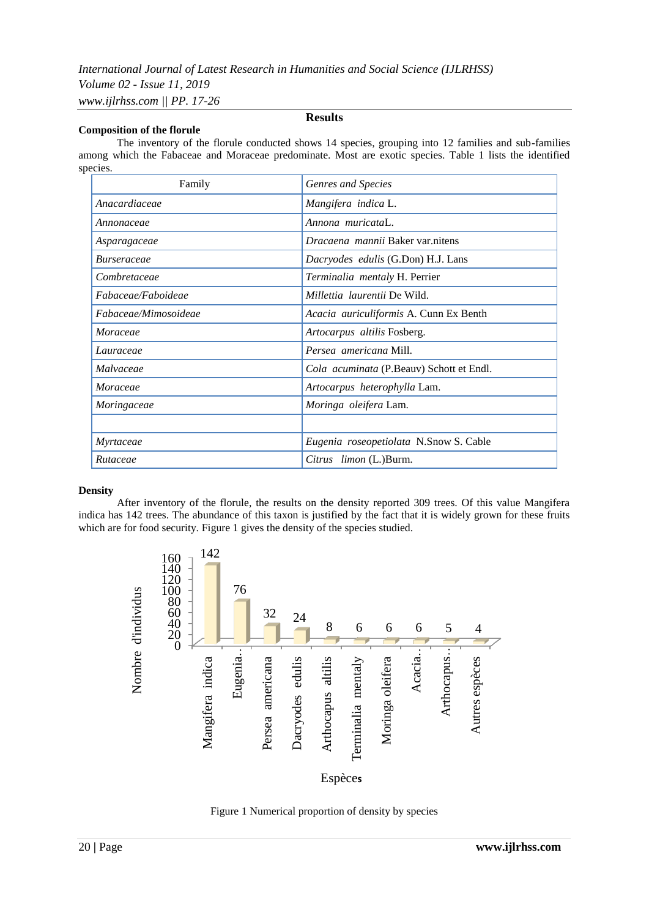#### **Composition of the florule**

# **Results**

The inventory of the florule conducted shows 14 species, grouping into 12 families and sub-families among which the Fabaceae and Moraceae predominate. Most are exotic species. Table 1 lists the identified species.

| Family               | Genres and Species                        |
|----------------------|-------------------------------------------|
| Anacardiaceae        | Mangifera indica L.                       |
| Annonaceae           | Annona muricataL.                         |
| Asparagaceae         | <i>Dracaena mannii</i> Baker var.nitens   |
| <i>Burseraceae</i>   | <i>Dacryodes edulis</i> (G.Don) H.J. Lans |
| Combretaceae         | Terminalia mentaly H. Perrier             |
| Fabaceae/Faboideae   | <i>Millettia laurentii</i> De Wild.       |
| Fabaceae/Mimosoideae | Acacia auriculiformis A. Cunn Ex Benth    |
| Moraceae             | Artocarpus altilis Fosberg.               |
| Lauraceae            | Persea americana Mill.                    |
| Malvaceae            | Cola acuminata (P.Beauv) Schott et Endl.  |
| Moraceae             | Artocarpus heterophylla Lam.              |
| Moringaceae          | Moringa oleifera Lam.                     |
|                      |                                           |
| Myrtaceae            | Eugenia roseopetiolata N.Snow S. Cable    |
| Rutaceae             | Citrus limon (L.)Burm.                    |

#### **Density**

After inventory of the florule, the results on the density reported 309 trees. Of this value Mangifera indica has 142 trees. The abundance of this taxon is justified by the fact that it is widely grown for these fruits which are for food security. Figure 1 gives the density of the species studied.



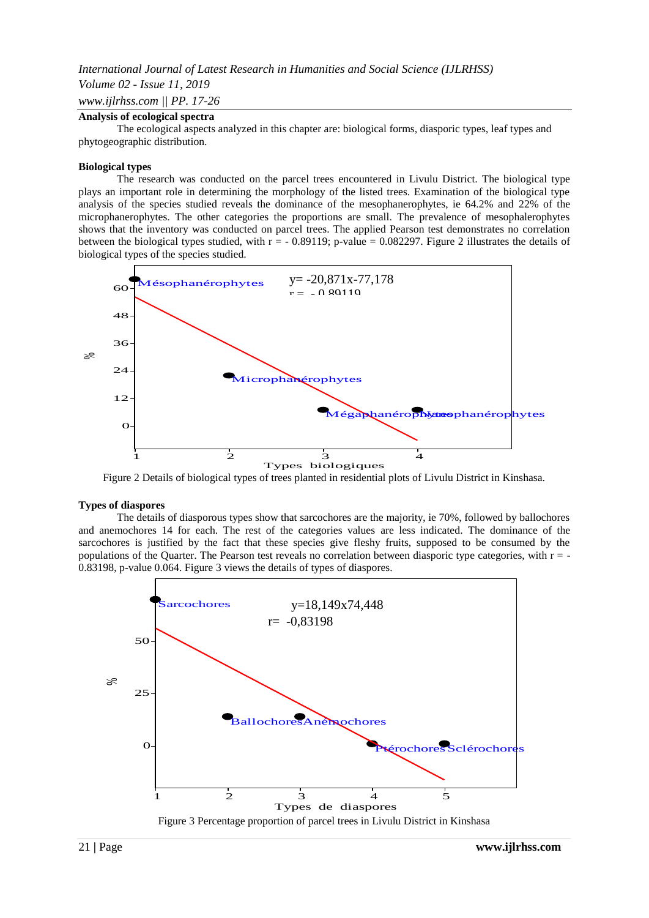# *International Journal of Latest Research in Humanities and Social Science (IJLRHSS) Volume 02 - Issue 11, 2019*

# *www.ijlrhss.com || PP. 17-26*

#### **Analysis of ecological spectra**

The ecological aspects analyzed in this chapter are: biological forms, diasporic types, leaf types and phytogeographic distribution.

#### **Biological types**

The research was conducted on the parcel trees encountered in Livulu District. The biological type plays an important role in determining the morphology of the listed trees. Examination of the biological type analysis of the species studied reveals the dominance of the mesophanerophytes, ie 64.2% and 22% of the microphanerophytes. The other categories the proportions are small. The prevalence of mesophalerophytes shows that the inventory was conducted on parcel trees. The applied Pearson test demonstrates no correlation between the biological types studied, with  $r = -0.89119$ ; p-value = 0.082297. Figure 2 illustrates the details of biological types of the species studied.



Figure 2 Details of biological types of trees planted in residential plots of Livulu District in Kinshasa.

#### **Types of diaspores**

The details of diasporous types show that sarcochores are the majority, ie 70%, followed by ballochores and anemochores 14 for each. The rest of the categories values are less indicated. The dominance of the sarcochores is justified by the fact that these species give fleshy fruits, supposed to be consumed by the populations of the Quarter. The Pearson test reveals no correlation between diasporic type categories, with  $r = -$ 0.83198, p-value 0.064. Figure 3 views the details of types of diaspores.

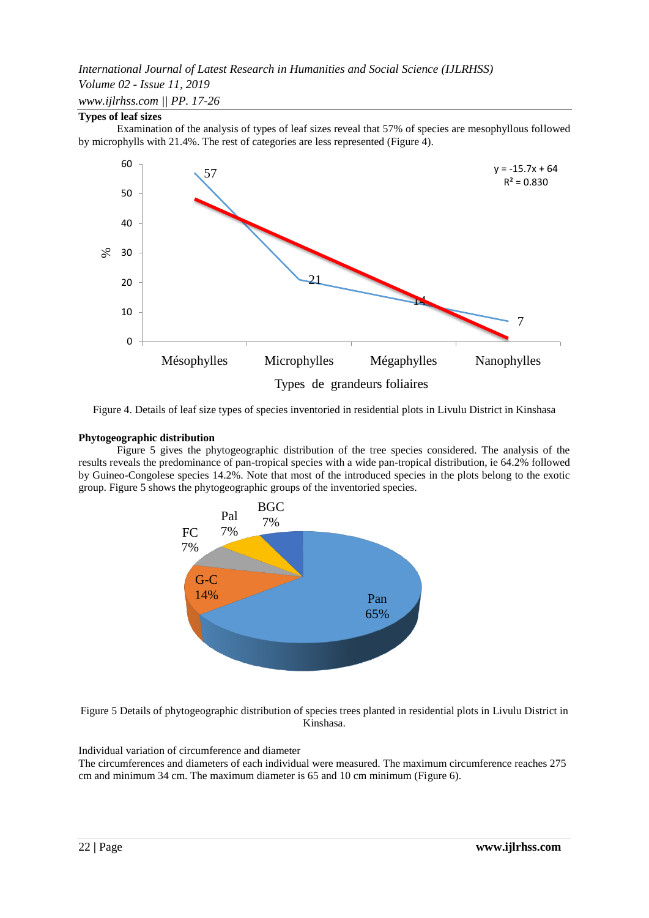# *International Journal of Latest Research in Humanities and Social Science (IJLRHSS) Volume 02 - Issue 11, 2019 www.ijlrhss.com || PP. 17-26*

# **Types of leaf sizes**

Examination of the analysis of types of leaf sizes reveal that 57% of species are mesophyllous followed by microphylls with 21.4%. The rest of categories are less represented (Figure 4).



Figure 4. Details of leaf size types of species inventoried in residential plots in Livulu District in Kinshasa

# **Phytogeographic distribution**

Figure 5 gives the phytogeographic distribution of the tree species considered. The analysis of the results reveals the predominance of pan-tropical species with a wide pan-tropical distribution, ie 64.2% followed by Guineo-Congolese species 14.2%. Note that most of the introduced species in the plots belong to the exotic group. Figure 5 shows the phytogeographic groups of the inventoried species.



Figure 5 Details of phytogeographic distribution of species trees planted in residential plots in Livulu District in Kinshasa.

#### Individual variation of circumference and diameter

The circumferences and diameters of each individual were measured. The maximum circumference reaches 275 cm and minimum 34 cm. The maximum diameter is 65 and 10 cm minimum (Figure 6).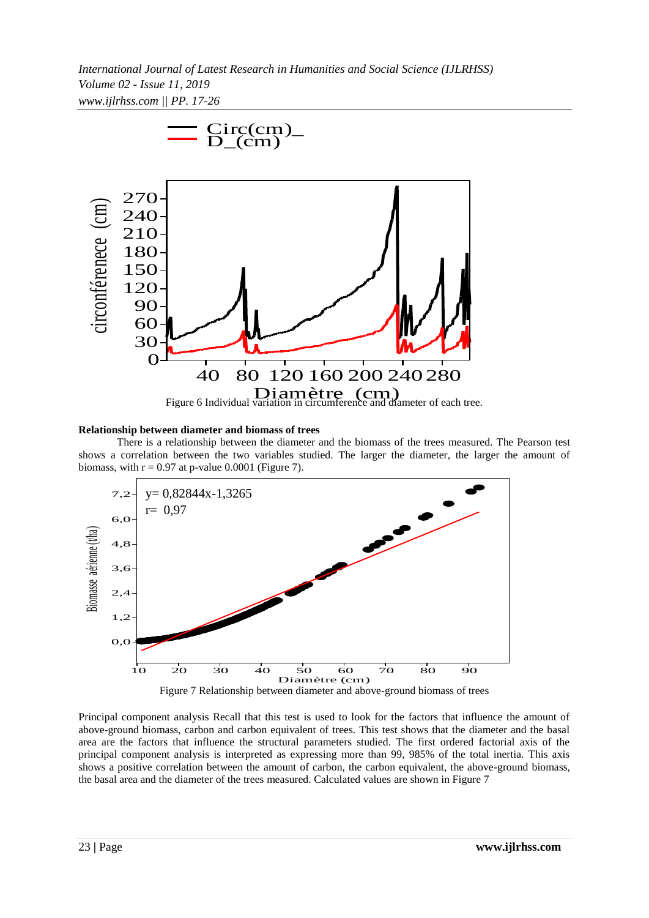*International Journal of Latest Research in Humanities and Social Science (IJLRHSS) Volume 02 - Issue 11, 2019 www.ijlrhss.com || PP. 17-26*



#### **Relationship between diameter and biomass of trees**

There is a relationship between the diameter and the biomass of the trees measured. The Pearson test shows a correlation between the two variables studied. The larger the diameter, the larger the amount of biomass, with  $r = 0.97$  at p-value 0.0001 (Figure 7).



Principal component analysis Recall that this test is used to look for the factors that influence the amount of above-ground biomass, carbon and carbon equivalent of trees. This test shows that the diameter and the basal area are the factors that influence the structural parameters studied. The first ordered factorial axis of the principal component analysis is interpreted as expressing more than 99, 985% of the total inertia. This axis shows a positive correlation between the amount of carbon, the carbon equivalent, the above-ground biomass, the basal area and the diameter of the trees measured. Calculated values are shown in Figure 7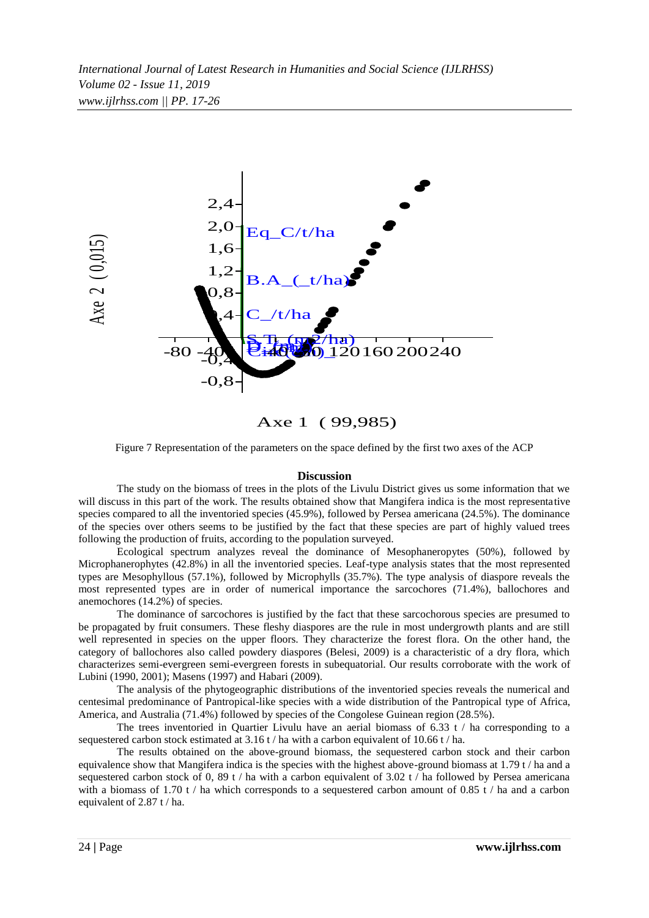

Axe 1 ( 99,985)

Figure 7 Representation of the parameters on the space defined by the first two axes of the ACP

#### **Discussion**

The study on the biomass of trees in the plots of the Livulu District gives us some information that we will discuss in this part of the work. The results obtained show that Mangifera indica is the most representative species compared to all the inventoried species (45.9%), followed by Persea americana (24.5%). The dominance of the species over others seems to be justified by the fact that these species are part of highly valued trees following the production of fruits, according to the population surveyed.

Ecological spectrum analyzes reveal the dominance of Mesophaneropytes (50%), followed by Microphanerophytes (42.8%) in all the inventoried species. Leaf-type analysis states that the most represented types are Mesophyllous (57.1%), followed by Microphylls (35.7%). The type analysis of diaspore reveals the most represented types are in order of numerical importance the sarcochores (71.4%), ballochores and anemochores (14.2%) of species.

The dominance of sarcochores is justified by the fact that these sarcochorous species are presumed to be propagated by fruit consumers. These fleshy diaspores are the rule in most undergrowth plants and are still well represented in species on the upper floors. They characterize the forest flora. On the other hand, the category of ballochores also called powdery diaspores (Belesi, 2009) is a characteristic of a dry flora, which characterizes semi-evergreen semi-evergreen forests in subequatorial. Our results corroborate with the work of Lubini (1990, 2001); Masens (1997) and Habari (2009).

The analysis of the phytogeographic distributions of the inventoried species reveals the numerical and centesimal predominance of Pantropical-like species with a wide distribution of the Pantropical type of Africa, America, and Australia (71.4%) followed by species of the Congolese Guinean region (28.5%).

The trees inventoried in Quartier Livulu have an aerial biomass of  $6.33$  t / ha corresponding to a sequestered carbon stock estimated at 3.16 t / ha with a carbon equivalent of 10.66 t / ha.

The results obtained on the above-ground biomass, the sequestered carbon stock and their carbon equivalence show that Mangifera indica is the species with the highest above-ground biomass at 1.79 t / ha and a sequestered carbon stock of 0, 89 t / ha with a carbon equivalent of 3.02 t / ha followed by Persea americana with a biomass of 1.70 t / ha which corresponds to a sequestered carbon amount of 0.85 t / ha and a carbon equivalent of 2.87 t / ha.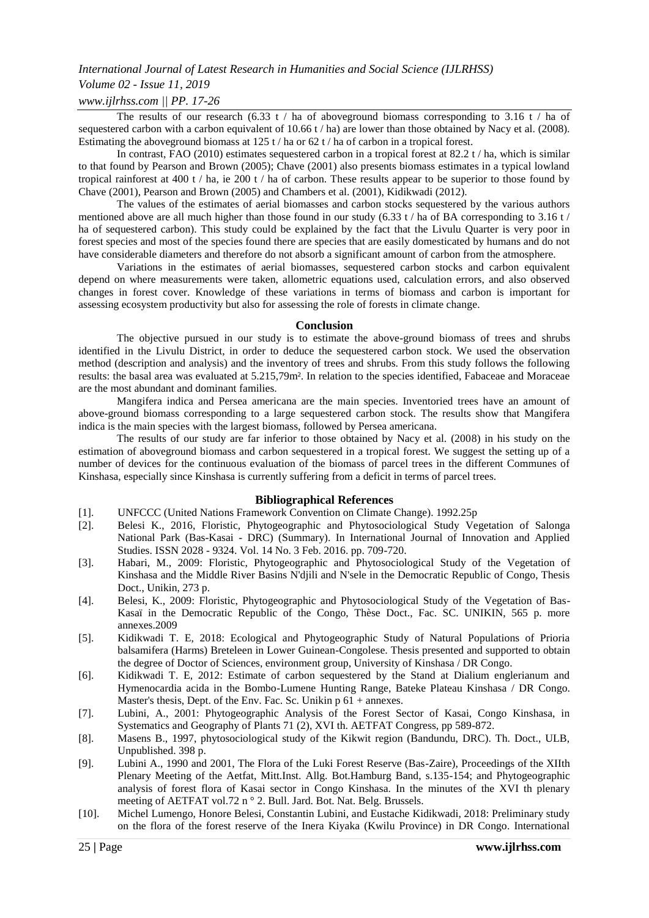# *Volume 02 - Issue 11, 2019*

*www.ijlrhss.com || PP. 17-26*

The results of our research (6.33 t / ha of aboveground biomass corresponding to 3.16 t / ha of sequestered carbon with a carbon equivalent of 10.66 t / ha) are lower than those obtained by Nacy et al. (2008). Estimating the aboveground biomass at 125 t / ha or 62 t / ha of carbon in a tropical forest.

In contrast, FAO (2010) estimates sequestered carbon in a tropical forest at 82.2 t / ha, which is similar to that found by Pearson and Brown (2005); Chave (2001) also presents biomass estimates in a typical lowland tropical rainforest at 400 t / ha, ie 200 t / ha of carbon. These results appear to be superior to those found by Chave (2001), Pearson and Brown (2005) and Chambers et al. (2001), Kidikwadi (2012).

The values of the estimates of aerial biomasses and carbon stocks sequestered by the various authors mentioned above are all much higher than those found in our study (6.33 t / ha of BA corresponding to 3.16 t / ha of sequestered carbon). This study could be explained by the fact that the Livulu Quarter is very poor in forest species and most of the species found there are species that are easily domesticated by humans and do not have considerable diameters and therefore do not absorb a significant amount of carbon from the atmosphere.

Variations in the estimates of aerial biomasses, sequestered carbon stocks and carbon equivalent depend on where measurements were taken, allometric equations used, calculation errors, and also observed changes in forest cover. Knowledge of these variations in terms of biomass and carbon is important for assessing ecosystem productivity but also for assessing the role of forests in climate change.

### **Conclusion**

The objective pursued in our study is to estimate the above-ground biomass of trees and shrubs identified in the Livulu District, in order to deduce the sequestered carbon stock. We used the observation method (description and analysis) and the inventory of trees and shrubs. From this study follows the following results: the basal area was evaluated at 5.215,79m². In relation to the species identified, Fabaceae and Moraceae are the most abundant and dominant families.

Mangifera indica and Persea americana are the main species. Inventoried trees have an amount of above-ground biomass corresponding to a large sequestered carbon stock. The results show that Mangifera indica is the main species with the largest biomass, followed by Persea americana.

The results of our study are far inferior to those obtained by Nacy et al. (2008) in his study on the estimation of aboveground biomass and carbon sequestered in a tropical forest. We suggest the setting up of a number of devices for the continuous evaluation of the biomass of parcel trees in the different Communes of Kinshasa, especially since Kinshasa is currently suffering from a deficit in terms of parcel trees.

# **Bibliographical References**

- [1]. UNFCCC (United Nations Framework Convention on Climate Change). 1992.25p
- [2]. Belesi K., 2016, Floristic, Phytogeographic and Phytosociological Study Vegetation of Salonga National Park (Bas-Kasai - DRC) (Summary). In International Journal of Innovation and Applied Studies. ISSN 2028 - 9324. Vol. 14 No. 3 Feb. 2016. pp. 709-720.
- [3]. Habari, M., 2009: Floristic, Phytogeographic and Phytosociological Study of the Vegetation of Kinshasa and the Middle River Basins N'djili and N'sele in the Democratic Republic of Congo, Thesis Doct., Unikin, 273 p.
- [4]. Belesi, K., 2009: Floristic, Phytogeographic and Phytosociological Study of the Vegetation of Bas-Kasaï in the Democratic Republic of the Congo, Thèse Doct., Fac. SC. UNIKIN, 565 p. more annexes.2009
- [5]. Kidikwadi T. E, 2018: Ecological and Phytogeographic Study of Natural Populations of Prioria balsamifera (Harms) Breteleen in Lower Guinean-Congolese. Thesis presented and supported to obtain the degree of Doctor of Sciences, environment group, University of Kinshasa / DR Congo.
- [6]. Kidikwadi T. E, 2012: Estimate of carbon sequestered by the Stand at Dialium englerianum and Hymenocardia acida in the Bombo-Lumene Hunting Range, Bateke Plateau Kinshasa / DR Congo. Master's thesis, Dept. of the Env. Fac. Sc. Unikin p 61 + annexes.
- [7]. Lubini, A., 2001: Phytogeographic Analysis of the Forest Sector of Kasai, Congo Kinshasa, in Systematics and Geography of Plants 71 (2), XVI th. AETFAT Congress, pp 589-872.
- [8]. Masens B., 1997, phytosociological study of the Kikwit region (Bandundu, DRC). Th. Doct., ULB, Unpublished. 398 p.
- [9]. Lubini A., 1990 and 2001, The Flora of the Luki Forest Reserve (Bas-Zaire), Proceedings of the XIIth Plenary Meeting of the Aetfat, Mitt.Inst. Allg. Bot.Hamburg Band, s.135-154; and Phytogeographic analysis of forest flora of Kasai sector in Congo Kinshasa. In the minutes of the XVI th plenary meeting of AETFAT vol.72 n ° 2. Bull. Jard. Bot. Nat. Belg. Brussels.
- [10]. Michel Lumengo, Honore Belesi, Constantin Lubini, and Eustache Kidikwadi, 2018: Preliminary study on the flora of the forest reserve of the Inera Kiyaka (Kwilu Province) in DR Congo. International